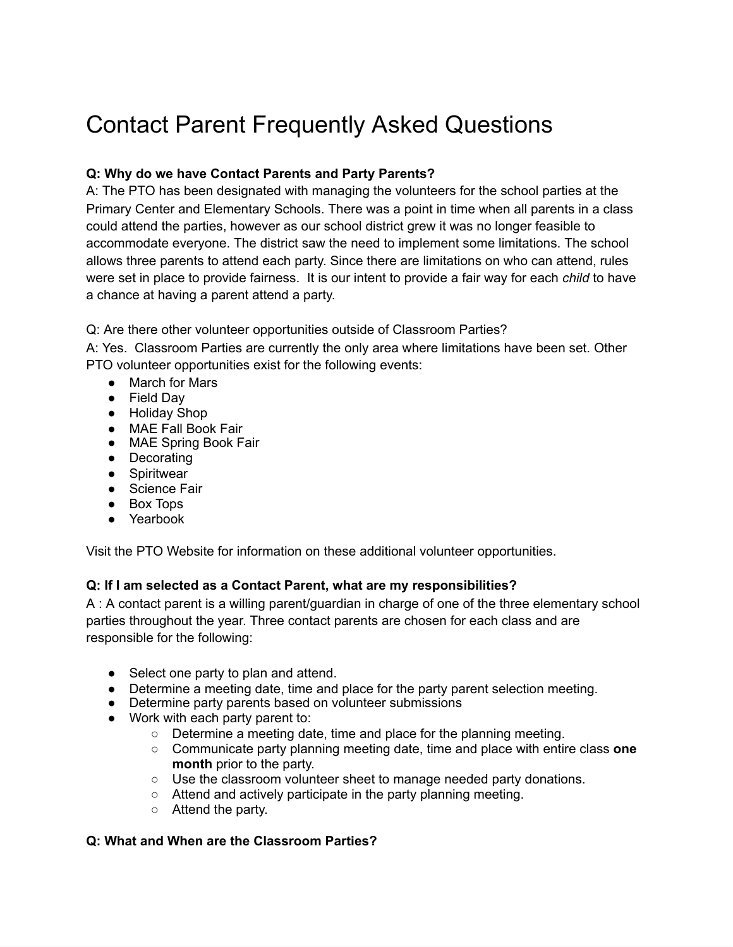# Contact Parent Frequently Asked Questions

## **Q: Why do we have Contact Parents and Party Parents?**

A: The PTO has been designated with managing the volunteers for the school parties at the Primary Center and Elementary Schools. There was a point in time when all parents in a class could attend the parties, however as our school district grew it was no longer feasible to accommodate everyone. The district saw the need to implement some limitations. The school allows three parents to attend each party. Since there are limitations on who can attend, rules were set in place to provide fairness. It is our intent to provide a fair way for each *child* to have a chance at having a parent attend a party.

Q: Are there other volunteer opportunities outside of Classroom Parties?

A: Yes. Classroom Parties are currently the only area where limitations have been set. Other PTO volunteer opportunities exist for the following events:

- March for Mars
- Field Day
- Holiday Shop
- MAE Fall Book Fair
- MAE Spring Book Fair
- Decorating
- Spiritwear
- Science Fair
- Box Tops
- Yearbook

Visit the PTO Website for information on these additional volunteer opportunities.

#### **Q: If I am selected as a Contact Parent, what are my responsibilities?**

A : A contact parent is a willing parent/guardian in charge of one of the three elementary school parties throughout the year. Three contact parents are chosen for each class and are responsible for the following:

- Select one party to plan and attend.
- Determine a meeting date, time and place for the party parent selection meeting.
- Determine party parents based on volunteer submissions
- Work with each party parent to:
	- Determine a meeting date, time and place for the planning meeting.
	- Communicate party planning meeting date, time and place with entire class **one month** prior to the party.
	- Use the classroom volunteer sheet to manage needed party donations.
	- Attend and actively participate in the party planning meeting.
	- Attend the party.

#### **Q: What and When are the Classroom Parties?**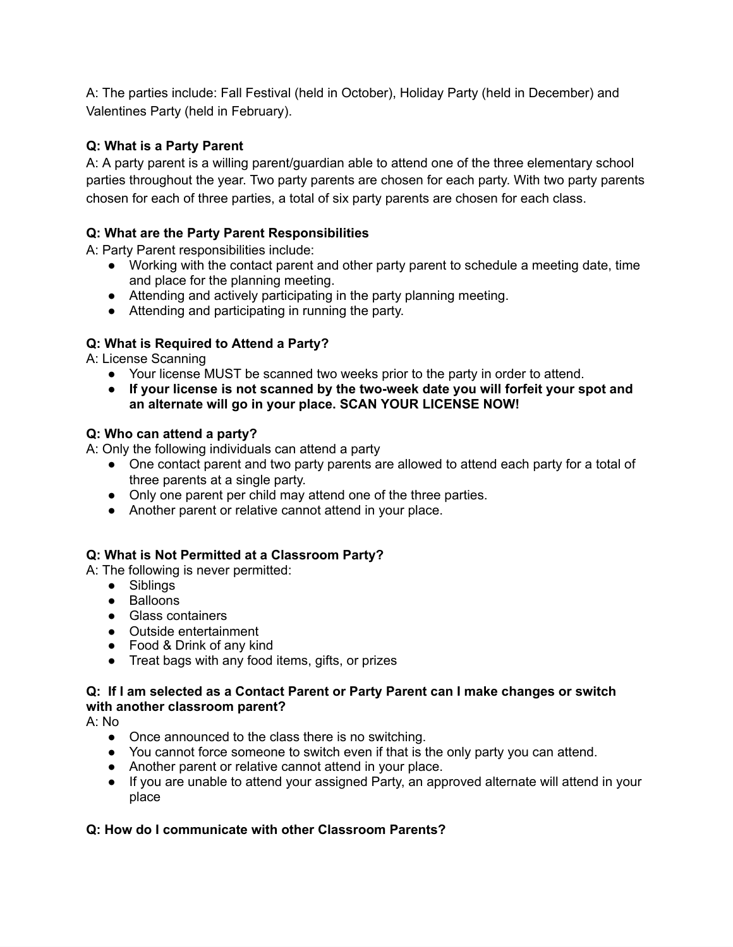A: The parties include: Fall Festival (held in October), Holiday Party (held in December) and Valentines Party (held in February).

# **Q: What is a Party Parent**

A: A party parent is a willing parent/guardian able to attend one of the three elementary school parties throughout the year. Two party parents are chosen for each party. With two party parents chosen for each of three parties, a total of six party parents are chosen for each class.

# **Q: What are the Party Parent Responsibilities**

A: Party Parent responsibilities include:

- Working with the contact parent and other party parent to schedule a meeting date, time and place for the planning meeting.
- Attending and actively participating in the party planning meeting.
- Attending and participating in running the party.

# **Q: What is Required to Attend a Party?**

A: License Scanning

- Your license MUST be scanned two weeks prior to the party in order to attend.
- **● If your license is not scanned by the two-week date you will forfeit your spot and an alternate will go in your place. SCAN YOUR LICENSE NOW!**

## **Q: Who can attend a party?**

A: Only the following individuals can attend a party

- One contact parent and two party parents are allowed to attend each party for a total of three parents at a single party.
- Only one parent per child may attend one of the three parties.
- Another parent or relative cannot attend in your place.

## **Q: What is Not Permitted at a Classroom Party?**

A: The following is never permitted:

- Siblings
- Balloons
- Glass containers
- Outside entertainment
- Food & Drink of any kind
- Treat bags with any food items, gifts, or prizes

#### **Q: If I am selected as a Contact Parent or Party Parent can I make changes or switch with another classroom parent?**

A: No

- Once announced to the class there is no switching.
- You cannot force someone to switch even if that is the only party you can attend.
- Another parent or relative cannot attend in your place.
- If you are unable to attend your assigned Party, an approved alternate will attend in your place

## **Q: How do I communicate with other Classroom Parents?**